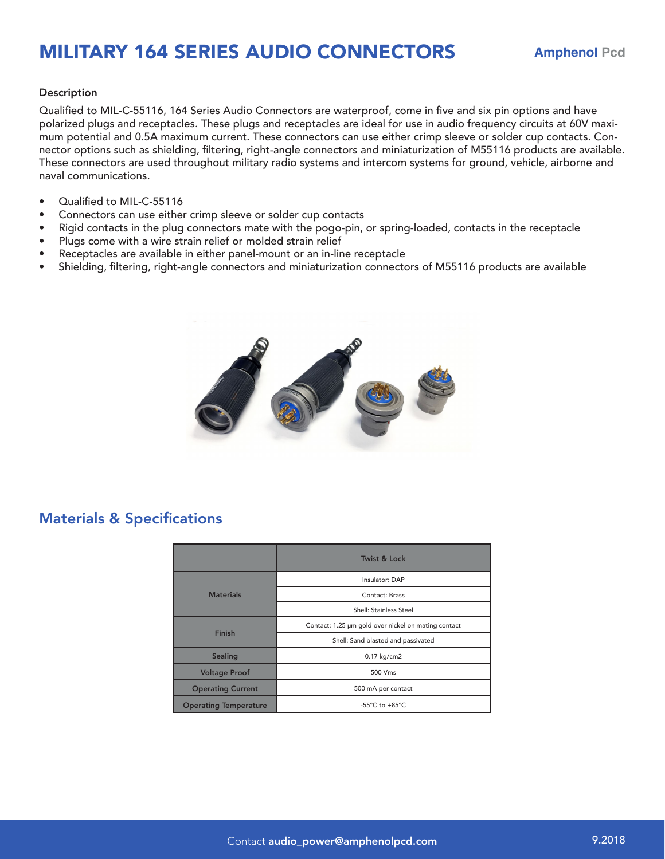## Description

Qualified to MIL-C-55116, 164 Series Audio Connectors are waterproof, come in five and six pin options and have polarized plugs and receptacles. These plugs and receptacles are ideal for use in audio frequency circuits at 60V maximum potential and 0.5A maximum current. These connectors can use either crimp sleeve or solder cup contacts. Connector options such as shielding, filtering, right-angle connectors and miniaturization of M55116 products are available. These connectors are used throughout military radio systems and intercom systems for ground, vehicle, airborne and naval communications.

- Qualified to MIL-C-55116
- Connectors can use either crimp sleeve or solder cup contacts
- Rigid contacts in the plug connectors mate with the pogo-pin, or spring-loaded, contacts in the receptacle
- Plugs come with a wire strain relief or molded strain relief
- Receptacles are available in either panel-mount or an in-line receptacle
- Shielding, filtering, right-angle connectors and miniaturization connectors of M55116 products are available



## Materials & Specifications

|                              | <b>Twist &amp; Lock</b>                             |  |
|------------------------------|-----------------------------------------------------|--|
| <b>Materials</b>             | Insulator: DAP                                      |  |
|                              | Contact: Brass                                      |  |
|                              | Shell: Stainless Steel                              |  |
| <b>Finish</b>                | Contact: 1.25 µm gold over nickel on mating contact |  |
|                              | Shell: Sand blasted and passivated                  |  |
| <b>Sealing</b>               | 0.17 kg/cm2                                         |  |
| <b>Voltage Proof</b>         | 500 Vms                                             |  |
| <b>Operating Current</b>     | 500 mA per contact                                  |  |
| <b>Operating Temperature</b> | -55°C to +85°C                                      |  |